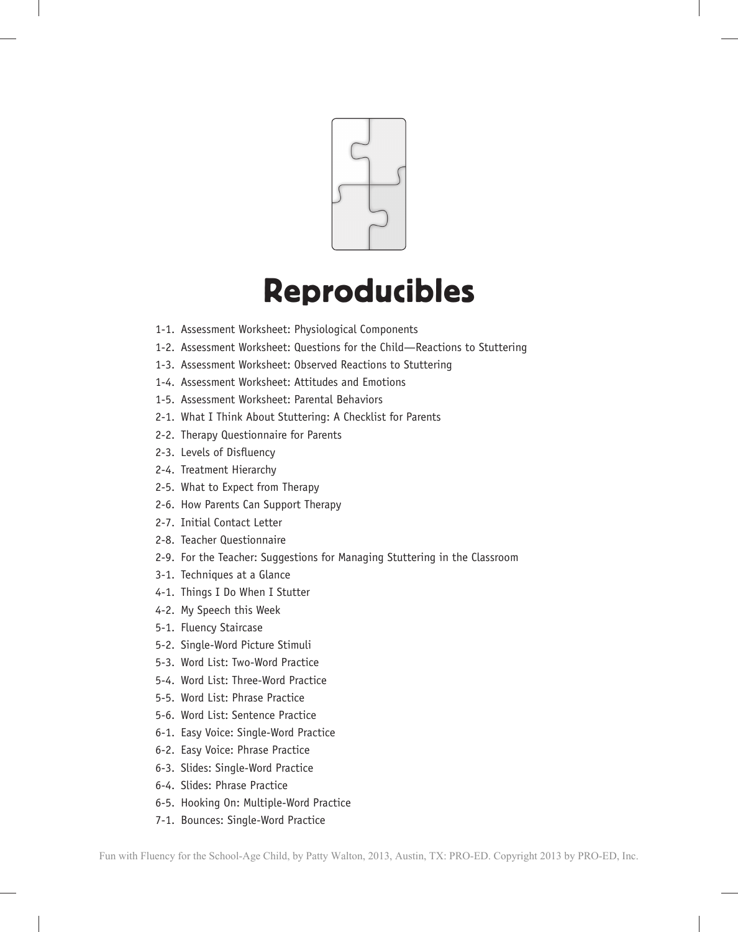

## Reproducibles

- 1-1. Assessment Worksheet: Physiological Components
- 1-2. Assessment Worksheet: Questions for the Child—Reactions to Stuttering
- 1-3. Assessment Worksheet: Observed Reactions to Stuttering
- 1-4. Assessment Worksheet: Attitudes and Emotions
- 1-5. Assessment Worksheet: Parental Behaviors
- 2-1. What I Think About Stuttering: A Checklist for Parents
- 2-2. Therapy Questionnaire for Parents
- 2-3. Levels of Disfluency
- 2-4. Treatment Hierarchy
- 2-5. What to Expect from Therapy
- 2-6. How Parents Can Support Therapy
- 2-7. Initial Contact Letter
- 2-8. Teacher Questionnaire
- 2-9. For the Teacher: Suggestions for Managing Stuttering in the Classroom
- 3-1. Techniques at a Glance
- 4-1. Things I Do When I Stutter
- 4-2. My Speech this Week
- 5-1. Fluency Staircase
- 5-2. Single-Word Picture Stimuli
- 5-3. Word List: Two-Word Practice
- 5-4. Word List: Three-Word Practice
- 5-5. Word List: Phrase Practice
- 5-6. Word List: Sentence Practice
- 6-1. Easy Voice: Single-Word Practice
- 6-2. Easy Voice: Phrase Practice
- 6-3. Slides: Single-Word Practice
- 6-4. Slides: Phrase Practice
- 6-5. Hooking On: Multiple-Word Practice
- 7-1. Bounces: Single-Word Practice